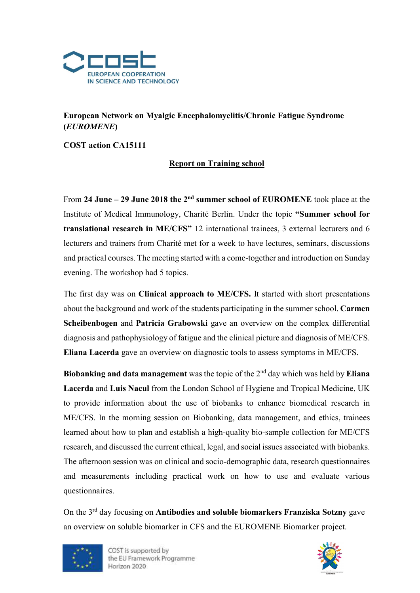

## European Network on Myalgic Encephalomyelitis/Chronic Fatigue Syndrome (EUROMENE)

COST action CA15111

## Report on Training school

From 24 June – 29 June 2018 the  $2<sup>nd</sup>$  summer school of EUROMENE took place at the Institute of Medical Immunology, Charité Berlin. Under the topic "Summer school for translational research in ME/CFS" 12 international trainees, 3 external lecturers and 6 lecturers and trainers from Charité met for a week to have lectures, seminars, discussions and practical courses. The meeting started with a come-together and introduction on Sunday evening. The workshop had 5 topics.

The first day was on Clinical approach to ME/CFS. It started with short presentations about the background and work of the students participating in the summer school. Carmen Scheibenbogen and Patricia Grabowski gave an overview on the complex differential diagnosis and pathophysiology of fatigue and the clinical picture and diagnosis of ME/CFS. Eliana Lacerda gave an overview on diagnostic tools to assess symptoms in ME/CFS.

Biobanking and data management was the topic of the  $2<sup>nd</sup>$  day which was held by Eliana Lacerda and Luis Nacul from the London School of Hygiene and Tropical Medicine, UK to provide information about the use of biobanks to enhance biomedical research in ME/CFS. In the morning session on Biobanking, data management, and ethics, trainees learned about how to plan and establish a high-quality bio-sample collection for ME/CFS research, and discussed the current ethical, legal, and social issues associated with biobanks. The afternoon session was on clinical and socio-demographic data, research questionnaires and measurements including practical work on how to use and evaluate various questionnaires.

On the 3<sup>rd</sup> day focusing on **Antibodies and soluble biomarkers Franziska Sotzny** gave an overview on soluble biomarker in CFS and the EUROMENE Biomarker project.